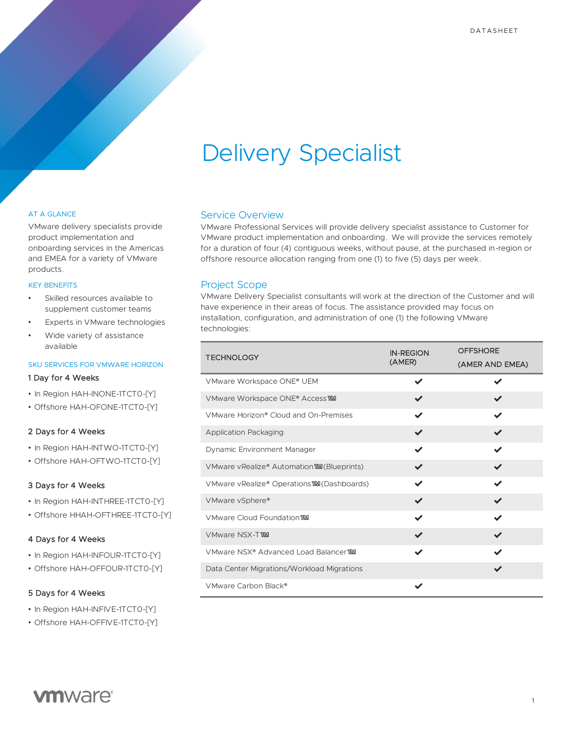# Delivery Specialist

#### AT A GLANCE

VMware delivery specialists provide product implementation and onboarding services in the Americas and EMEA for a variety of VMware products.

#### KEY BENEFITS

- Skilled resources available to supplement customer teams
- Experts in VMware technologies
- Wide variety of assistance available

#### SKU SERVICES FOR VMWARE HORIZON

#### 1 Day for 4 Weeks

- In Region HAH-INONE-1TCT0-[Y]
- Offshore HAH-OFONE-1TCT0-[Y]

#### 2 Days for 4 Weeks

- In Region HAH-INTWO-1TCT0-[Y]
- Offshore HAH-OFTWO-1TCT0-[Y]

### 3 Days for 4 Weeks

- In Region HAH-INTHREE-1TCT0-[Y]
- Offshore HHAH-OFTHREE-1TCT0-[Y]

#### 4 Days for 4 Weeks

- In Region HAH-INFOUR-1TCT0-[Y]
- Offshore HAH-OFFOUR-1TCT0-[Y]

#### 5 Days for 4 Weeks

- In Region HAH-INFIVE-1TCT0-[Y]
- Offshore HAH-OFFIVE-1TCT0-[Y]

## Service Overview

VMware Professional Services will provide delivery specialist assistance to Customer for VMware product implementation and onboarding. We will provide the services remotely for a duration of four (4) contiguous weeks, without pause, at the purchased in-region or offshore resource allocation ranging from one (1) to five (5) days per week.

## Project Scope

VMware Delivery Specialist consultants will work at the direction of the Customer and will have experience in their areas of focus. The assistance provided may focus on installation, configuration, and administration of one (1) the following VMware technologies:

| <b>TECHNOLOGY</b>                                | <b>IN-REGION</b> | <b>OFFSHORE</b> |
|--------------------------------------------------|------------------|-----------------|
|                                                  | (AMER)           | (AMER AND EMEA) |
| VMware Workspace ONE® UEM                        |                  |                 |
| VMware Workspace ONE® Access TMM                 |                  |                 |
| VMware Horizon® Cloud and On-Premises            |                  |                 |
| <b>Application Packaging</b>                     | ✓                | ✔               |
| Dynamic Environment Manager                      | ✔                |                 |
| VMware vRealize® Automation MM (Blueprints)      | ✔                |                 |
| VMware vRealize® Operations MM (Dashboards)      |                  |                 |
| VMware vSphere®                                  |                  |                 |
| VMware Cloud Foundation TMM                      | ✓                | ✔               |
| VMware NSX-TTM                                   |                  |                 |
| VMware NSX <sup>®</sup> Advanced Load BalancerTM | ✔                |                 |
| Data Center Migrations/Workload Migrations       |                  |                 |
| VMware Carbon Black®                             |                  |                 |

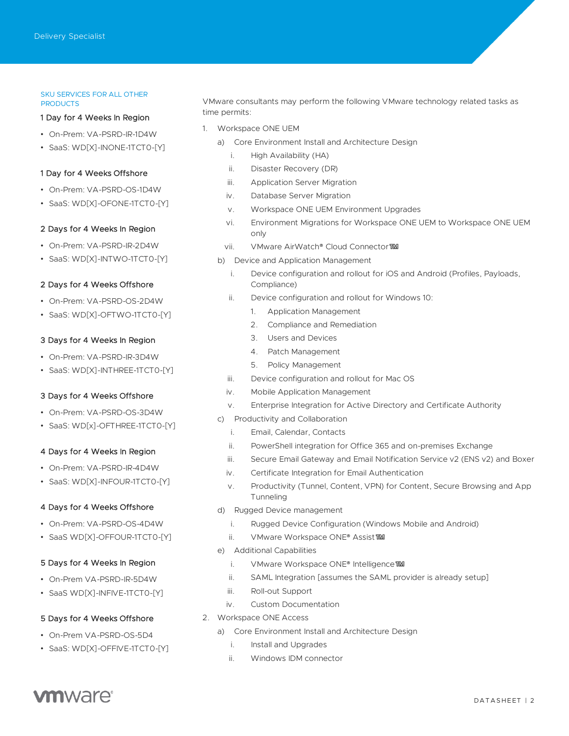#### SKU SERVICES FOR ALL OTHER **PRODUCTS**

#### 1 Day for 4 Weeks In Region

- On-Prem: VA-PSRD-IR-1D4W
- SaaS: WD[X]-INONE-1TCT0-[Y]

#### 1 Day for 4 Weeks Offshore

- On-Prem: VA-PSRD-OS-1D4W
- SaaS: WD[X]-OFONE-1TCT0-[Y]

#### 2 Days for 4 Weeks In Region

- On-Prem: VA-PSRD-IR-2D4W
- SaaS: WD[X]-INTWO-1TCT0-[Y]

#### 2 Days for 4 Weeks Offshore

- On-Prem: VA-PSRD-OS-2D4W
- SaaS: WD[X]-OFTWO-1TCT0-[Y]

#### 3 Days for 4 Weeks In Region

- On-Prem: VA-PSRD-IR-3D4W
- SaaS: WD[X]-INTHREE-1TCT0-[Y]

#### 3 Days for 4 Weeks Offshore

- On-Prem: VA-PSRD-OS-3D4W
- SaaS: WD[x]-OFTHREE-1TCT0-[Y]

#### 4 Days for 4 Weeks In Region

- On-Prem: VA-PSRD-IR-4D4W
- SaaS: WD[X]-INFOUR-1TCT0-[Y]

#### 4 Days for 4 Weeks Offshore

- On-Prem: VA-PSRD-OS-4D4W
- SaaS WD[X]-OFFOUR-1TCT0-[Y]

#### 5 Days for 4 Weeks In Region

- On-Prem VA-PSRD-IR-5D4W
- SaaS WD[X]-INFIVE-1TCT0-[Y]

### 5 Days for 4 Weeks Offshore

- On-Prem VA-PSRD-OS-5D4
- SaaS: WD[X]-OFFIVE-1TCT0-[Y]

VMware consultants may perform the following VMware technology related tasks as time permits:

- 1. Workspace ONE UEM
	- a) Core Environment Install and Architecture Design
		- i. High Availability (HA)
		- ii. Disaster Recovery (DR)
		- iii. Application Server Migration
		- iv. Database Server Migration
		- v. Workspace ONE UEM Environment Upgrades
		- vi. Environment Migrations for Workspace ONE UEM to Workspace ONE UEM only
		- vii. VMware AirWatch® Cloud Connector™
	- b) Device and Application Management
		- i. Device configuration and rollout for iOS and Android (Profiles, Payloads, Compliance)
		- ii. Device configuration and rollout for Windows 10:
			- 1. Application Management
			- 2. Compliance and Remediation
			- 3. Users and Devices
			- 4. Patch Management
			- 5. Policy Management
		- iii. Device configuration and rollout for Mac OS
		- iv. Mobile Application Management
		- v. Enterprise Integration for Active Directory and Certificate Authority
	- c) Productivity and Collaboration
		- i. Email, Calendar, Contacts
		- ii. PowerShell integration for Office 365 and on-premises Exchange
		- iii. Secure Email Gateway and Email Notification Service v2 (ENS v2) and Boxer
		- iv. Certificate Integration for Email Authentication
		- v. Productivity (Tunnel, Content, VPN) for Content, Secure Browsing and App Tunneling
	- d) Rugged Device management
		- i. Rugged Device Configuration (Windows Mobile and Android)
		- ii. VMware Workspace ONE® Assist™
	- e) Additional Capabilities
		- i. VMware Workspace ONE® Intelligence MM
		- ii. SAML Integration [assumes the SAML provider is already setup]
		- iii. Roll-out Support
		- iv. Custom Documentation
- 2. Workspace ONE Access
	- a) Core Environment Install and Architecture Design
		- i. Install and Upgrades
		- ii. Windows IDM connector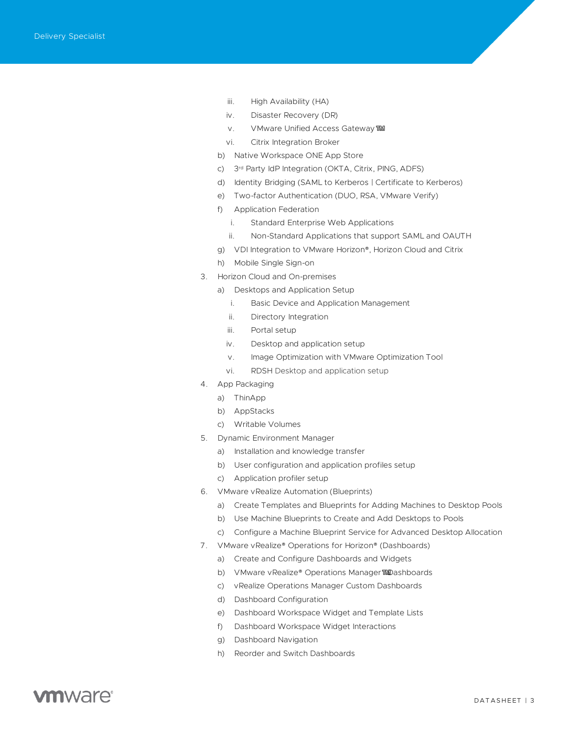- iii. High Availability (HA)
- iv. Disaster Recovery (DR)
- v. VMware Unified Access Gateway™
- vi. Citrix Integration Broker
- b) Native Workspace ONE App Store
- c) 3 rd Party IdP Integration (OKTA, Citrix, PING, ADFS)
- d) Identity Bridging (SAML to Kerberos | Certificate to Kerberos)
- e) Two-factor Authentication (DUO, RSA, VMware Verify)
- f) Application Federation
	- i. Standard Enterprise Web Applications
	- ii. Non-Standard Applications that support SAML and OAUTH
- g) VDI Integration to VMware Horizon®, Horizon Cloud and Citrix
- h) Mobile Single Sign-on
- 3. Horizon Cloud and On-premises
	- a) Desktops and Application Setup
		- i. Basic Device and Application Management
		- ii. Directory Integration
		- iii. Portal setup
		- iv. Desktop and application setup
		- v. Image Optimization with VMware Optimization Tool
		- vi. RDSH Desktop and application setup
- 4. App Packaging
	- a) ThinApp
	- b) AppStacks
	- c) Writable Volumes
- 5. Dynamic Environment Manager
	- a) Installation and knowledge transfer
	- b) User configuration and application profiles setup
	- c) Application profiler setup
- 6. VMware vRealize Automation (Blueprints)
	- a) Create Templates and Blueprints for Adding Machines to Desktop Pools
	- b) Use Machine Blueprints to Create and Add Desktops to Pools
	- c) Configure a Machine Blueprint Service for Advanced Desktop Allocation
- 7. VMware vRealize® Operations for Horizon® (Dashboards)
	- a) Create and Configure Dashboards and Widgets
	- b) VMware vRealize® Operations Manager™Dashboards
	- c) vRealize Operations Manager Custom Dashboards
	- d) Dashboard Configuration
	- e) Dashboard Workspace Widget and Template Lists
	- f) Dashboard Workspace Widget Interactions
	- g) Dashboard Navigation
	- h) Reorder and Switch Dashboards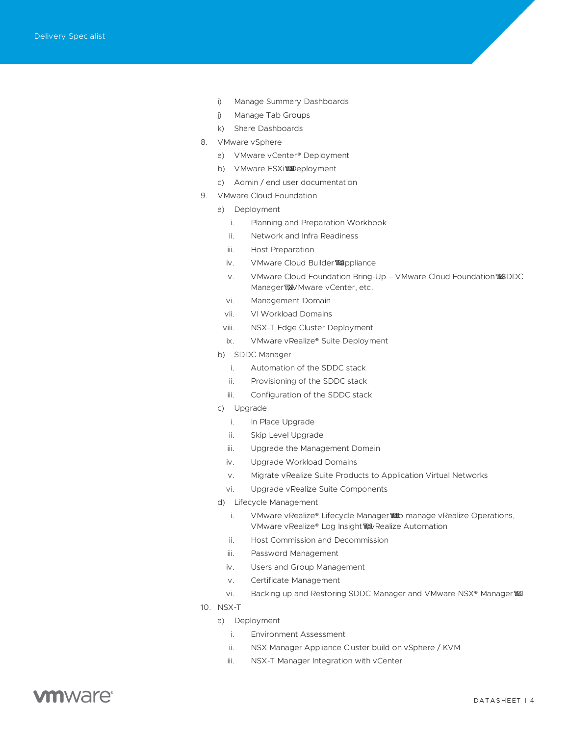- i) Manage Summary Dashboards
- j) Manage Tab Groups
- k) Share Dashboards
- 8. VMware vSphere
	- a) VMware vCenter® Deployment
	- b) VMware ESXi™Deployment
	- c) Admin / end user documentation
- 9. VMware Cloud Foundation
	- a) Deployment
		- i. Planning and Preparation Workbook
		- ii. Network and Infra Readiness
		- iii. Host Preparation
		- iv. VMware Cloud Builder™appliance
		- v. VMware Cloud Foundation Bring-Up VMware Cloud Foundation™SDDC Manager™ Mware vCenter, etc.
		- vi. Management Domain
		- vii. VI Workload Domains
		- viii. NSX-T Edge Cluster Deployment
		- ix. VMware vRealize® Suite Deployment
	- b) SDDC Manager
		- i. Automation of the SDDC stack
		- ii. Provisioning of the SDDC stack
		- iii. Configuration of the SDDC stack
	- c) Upgrade
		- i. In Place Upgrade
		- ii. Skip Level Upgrade
		- iii. Upgrade the Management Domain
		- iv. Upgrade Workload Domains
		- v. Migrate vRealize Suite Products to Application Virtual Networks
		- vi. Upgrade vRealize Suite Components
	- d) Lifecycle Management
		- i. VMware vRealize® Lifecycle Manager™to manage vRealize Operations, VMware vRealize® Log Insight™ vRealize Automation
		- ii. Host Commission and Decommission
		- iii. Password Management
		- iv. Users and Group Management
		- v. Certificate Management
		- vi. Backing up and Restoring SDDC Manager and VMware NSX® Manager™
- 10. NSX-T
	- a) Deployment
		- i. Environment Assessment
		- ii. NSX Manager Appliance Cluster build on vSphere / KVM
		- iii. NSX-T Manager Integration with vCenter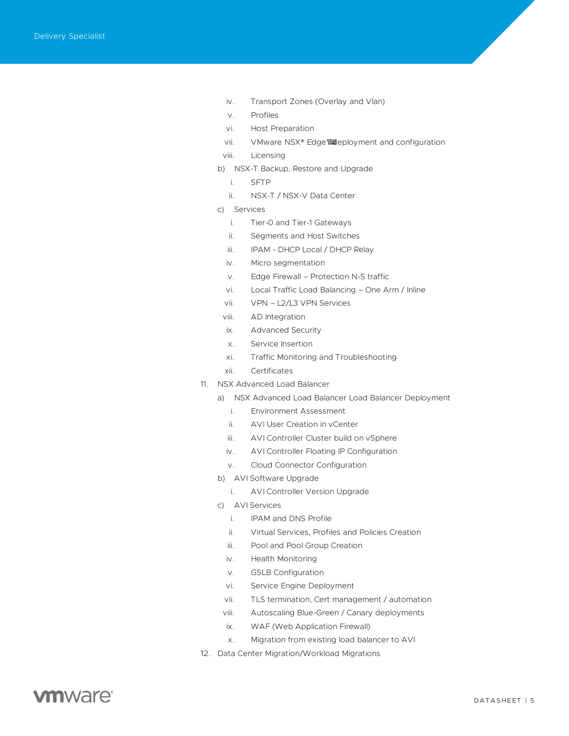- iv. Transport Zones (Overlay and Vlan)
- v. Profiles
- vi. Host Preparation
- vii. VMware NSX® Edge™deployment and configuration
- viii. Licensing
- b) NSX-T Backup, Restore and Upgrade
	- i. SFTP
	- ii. NSX-T / NSX-V Data Center
- c) Services
	- i. Tier-0 and Tier-1 Gateways
	- ii. Segments and Host Switches
	- iii. IPAM DHCP Local / DHCP Relay
	- iv. Micro segmentation
	- v. Edge Firewall Protection N-S traffic
	- vi. Local Traffic Load Balancing One Arm / Inline
	- vii. VPN L2/L3 VPN Services
- viii. AD Integration
- ix. Advanced Security
- x. Service Insertion
- xi. Traffic Monitoring and Troubleshooting
- xii. Certificates
- 11. NSX Advanced Load Balancer
	- a) NSX Advanced Load Balancer Load Balancer Deployment
		- i. Environment Assessment
		- ii. AVI User Creation in vCenter
		- iii. AVI Controller Cluster build on vSphere
		- iv. AVI Controller Floating IP Configuration
		- v. Cloud Connector Configuration
	- b) AVI Software Upgrade
		- i. AVI Controller Version Upgrade
	- c) AVI Services
		- i. IPAM and DNS Profile
		- ii. Virtual Services, Profiles and Policies Creation
		- iii. Pool and Pool Group Creation
		- iv. Health Monitoring
		- v. GSLB Configuration
		- vi. Service Engine Deployment
		- vii. TLS termination, Cert management / automation
		- viii. Autoscaling Blue-Green / Canary deployments
		- ix. WAF (Web Application Firewall)
		- x. Migration from existing load balancer to AVI
- 12. Data Center Migration/Workload Migrations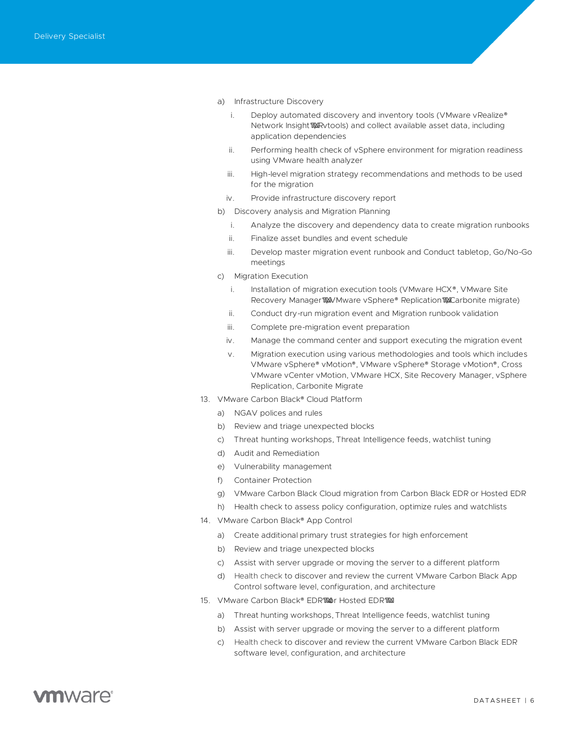- a) Infrastructure Discovery
	- i. Deploy automated discovery and inventory tools (VMware vRealize®) Network Insight WAR vtools) and collect available asset data, including application dependencies
	- ii. Performing health check of vSphere environment for migration readiness using VMware health analyzer
	- iii. High-level migration strategy recommendations and methods to be used for the migration
	- iv. Provide infrastructure discovery report
- b) Discovery analysis and Migration Planning
	- i. Analyze the discovery and dependency data to create migration runbooks
	- ii. Finalize asset bundles and event schedule
	- iii. Develop master migration event runbook and Conduct tabletop, Go/No-Go meetings
- c) Migration Execution
	- i. Installation of migration execution tools (VMware HCX®, VMware Site Recovery Manager™ VMware vSphere® Replication™ Carbonite migrate)
	- ii. Conduct dry-run migration event and Migration runbook validation
	- iii. Complete pre-migration event preparation
	- iv. Manage the command center and support executing the migration event
	- v. Migration execution using various methodologies and tools which includes VMware vSphere® vMotion®, VMware vSphere® Storage vMotion®, Cross VMware vCenter vMotion, VMware HCX, Site Recovery Manager, vSphere Replication, Carbonite Migrate
- 13. VMware Carbon Black® Cloud Platform
	- a) NGAV polices and rules
	- b) Review and triage unexpected blocks
	- c) Threat hunting workshops, Threat Intelligence feeds, watchlist tuning
	- d) Audit and Remediation
	- e) Vulnerability management
	- f) Container Protection
	- g) VMware Carbon Black Cloud migration from Carbon Black EDR or Hosted EDR
	- h) Health check to assess policy configuration, optimize rules and watchlists
- 14. VMware Carbon Black<sup>®</sup> App Control
	- a) Create additional primary trust strategies for high enforcement
	- b) Review and triage unexpected blocks
	- c) Assist with server upgrade or moving the server to a different platform
	- d) Health check to discover and review the current VMware Carbon Black App Control software level, configuration, and architecture
- 15. VMware Carbon Black® EDR™or Hosted EDR™
	- a) Threat hunting workshops, Threat Intelligence feeds, watchlist tuning
	- b) Assist with server upgrade or moving the server to a different platform
	- c) Health check to discover and review the current VMware Carbon Black EDR software level, configuration, and architecture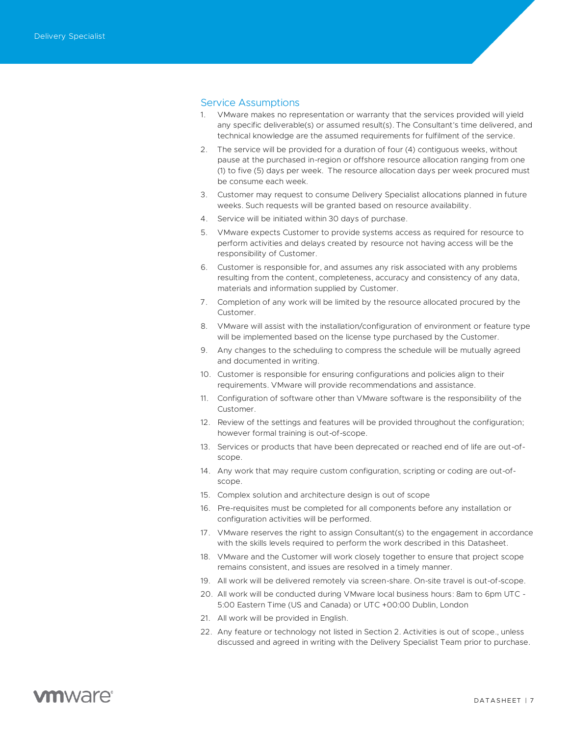## Service Assumptions

- 1. VMware makes no representation or warranty that the services provided will yield any specific deliverable(s) or assumed result(s). The Consultant's time delivered, and technical knowledge are the assumed requirements for fulfilment of the service.
- 2. The service will be provided for a duration of four (4) contiguous weeks, without pause at the purchased in-region or offshore resource allocation ranging from one (1) to five (5) days per week. The resource allocation days per week procured must be consume each week.
- 3. Customer may request to consume Delivery Specialist allocations planned in future weeks. Such requests will be granted based on resource availability.
- 4. Service will be initiated within 30 days of purchase.
- 5. VMware expects Customer to provide systems access as required for resource to perform activities and delays created by resource not having access will be the responsibility of Customer.
- 6. Customer is responsible for, and assumes any risk associated with any problems resulting from the content, completeness, accuracy and consistency of any data, materials and information supplied by Customer.
- 7. Completion of any work will be limited by the resource allocated procured by the Customer.
- 8. VMware will assist with the installation/configuration of environment or feature type will be implemented based on the license type purchased by the Customer.
- 9. Any changes to the scheduling to compress the schedule will be mutually agreed and documented in writing.
- 10. Customer is responsible for ensuring configurations and policies align to their requirements. VMware will provide recommendations and assistance.
- 11. Configuration of software other than VMware software is the responsibility of the Customer.
- 12. Review of the settings and features will be provided throughout the configuration; however formal training is out-of-scope.
- 13. Services or products that have been deprecated or reached end of life are out-ofscope.
- 14. Any work that may require custom configuration, scripting or coding are out-ofscope.
- 15. Complex solution and architecture design is out of scope
- 16. Pre-requisites must be completed for all components before any installation or configuration activities will be performed.
- 17. VMware reserves the right to assign Consultant(s) to the engagement in accordance with the skills levels required to perform the work described in this Datasheet.
- 18. VMware and the Customer will work closely together to ensure that project scope remains consistent, and issues are resolved in a timely manner.
- 19. All work will be delivered remotely via screen-share. On-site travel is out-of-scope.
- 20. All work will be conducted during VMware local business hours: 8am to 6pm UTC 5:00 Eastern Time (US and Canada) or UTC +00:00 Dublin, London
- 21. All work will be provided in English.
- 22. Any feature or technology not listed in Section 2. Activities is out of scope., unless discussed and agreed in writing with the Delivery Specialist Team prior to purchase.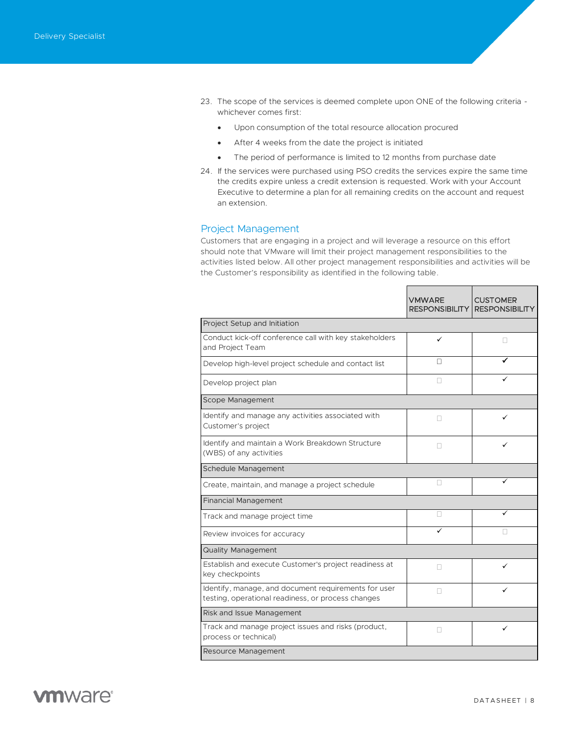- 23. The scope of the services is deemed complete upon ONE of the following criteria whichever comes first:
	- Upon consumption of the total resource allocation procured
	- After 4 weeks from the date the project is initiated
	- The period of performance is limited to 12 months from purchase date
- 24. If the services were purchased using PSO credits the services expire the same time the credits expire unless a credit extension is requested. Work with your Account Executive to determine a plan for all remaining credits on the account and request an extension.

### Project Management

Customers that are engaging in a project and will leverage a resource on this effort should note that VMware will limit their project management responsibilities to the activities listed below. All other project management responsibilities and activities will be the Customer's responsibility as identified in the following table.

 $\blacksquare$ 

|                                                                                                            | <b>VMWARE</b><br><b>RESPONSIBILITY</b> | <b>CUSTOMER</b><br><b>RESPONSIBILITY</b> |  |  |
|------------------------------------------------------------------------------------------------------------|----------------------------------------|------------------------------------------|--|--|
| Project Setup and Initiation                                                                               |                                        |                                          |  |  |
| Conduct kick-off conference call with key stakeholders<br>and Project Team                                 | ✓                                      | П                                        |  |  |
| Develop high-level project schedule and contact list                                                       | П                                      |                                          |  |  |
| Develop project plan                                                                                       | п                                      |                                          |  |  |
| Scope Management                                                                                           |                                        |                                          |  |  |
| Identify and manage any activities associated with<br>Customer's project                                   | П                                      |                                          |  |  |
| Identify and maintain a Work Breakdown Structure<br>(WBS) of any activities                                |                                        |                                          |  |  |
| <b>Schedule Management</b>                                                                                 |                                        |                                          |  |  |
| Create, maintain, and manage a project schedule                                                            |                                        | ✓                                        |  |  |
| <b>Financial Management</b>                                                                                |                                        |                                          |  |  |
| Track and manage project time                                                                              |                                        |                                          |  |  |
| Review invoices for accuracy                                                                               |                                        |                                          |  |  |
| <b>Quality Management</b>                                                                                  |                                        |                                          |  |  |
| Establish and execute Customer's project readiness at<br>key checkpoints                                   | П                                      | ✓                                        |  |  |
| Identify, manage, and document requirements for user<br>testing, operational readiness, or process changes |                                        | ✓                                        |  |  |
| Risk and Issue Management                                                                                  |                                        |                                          |  |  |
| Track and manage project issues and risks (product,<br>process or technical)                               | П                                      | ✓                                        |  |  |
| Resource Management                                                                                        |                                        |                                          |  |  |

 $\blacksquare$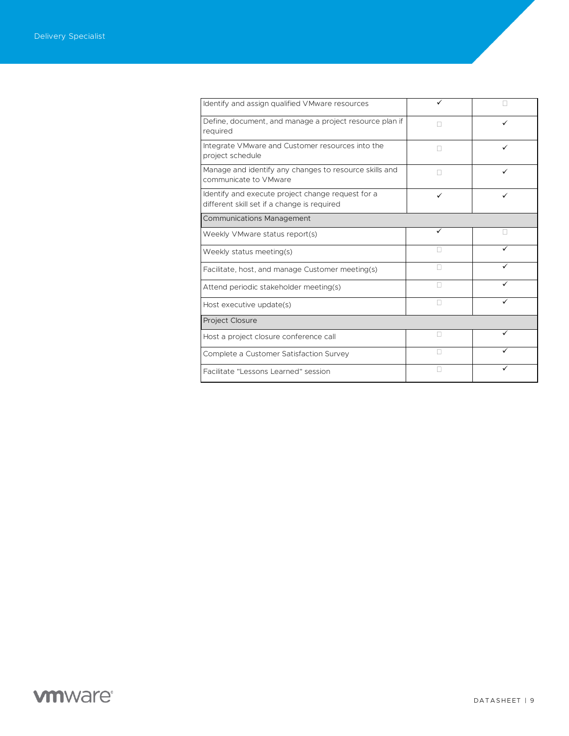| Identify and assign qualified VMware resources                                                   | ✓ |   |
|--------------------------------------------------------------------------------------------------|---|---|
| Define, document, and manage a project resource plan if<br>required                              | H | ✓ |
| Integrate VMware and Customer resources into the<br>project schedule                             | п | ✓ |
| Manage and identify any changes to resource skills and<br>communicate to VMware                  | п | ✓ |
| Identify and execute project change request for a<br>different skill set if a change is required | ✓ |   |
| <b>Communications Management</b>                                                                 |   |   |
| Weekly VMware status report(s)                                                                   | ✓ |   |
| Weekly status meeting(s)                                                                         | Ш |   |
| Facilitate, host, and manage Customer meeting(s)                                                 | П |   |
| Attend periodic stakeholder meeting(s)                                                           | П | ✓ |
| Host executive update(s)                                                                         | П |   |
| Project Closure                                                                                  |   |   |
| Host a project closure conference call                                                           | П | ✓ |
| Complete a Customer Satisfaction Survey                                                          | П | ✓ |
| Facilitate "Lessons Learned" session                                                             |   |   |